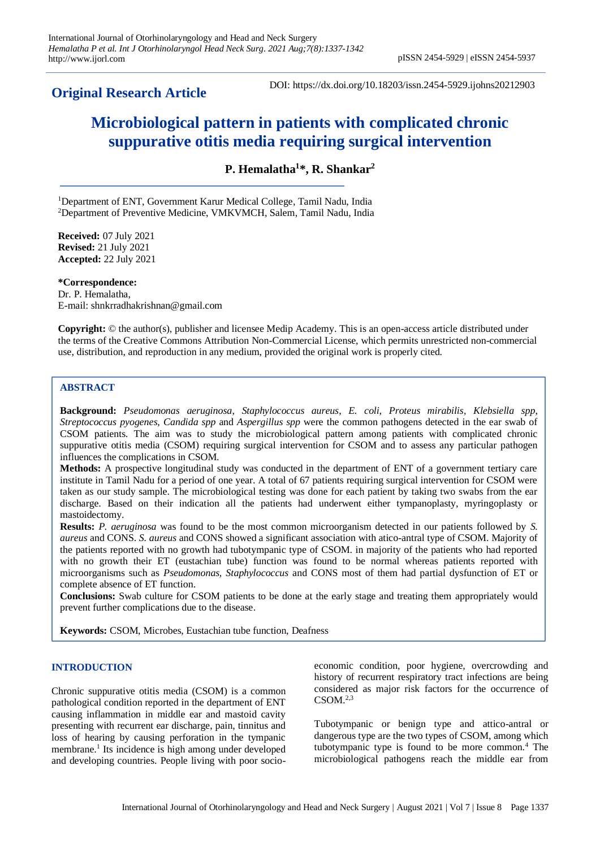# **Original Research Article**

DOI: https://dx.doi.org/10.18203/issn.2454-5929.ijohns20212903

# **Microbiological pattern in patients with complicated chronic suppurative otitis media requiring surgical intervention**

**P. Hemalatha<sup>1</sup> \*, R. Shankar<sup>2</sup>**

<sup>1</sup>Department of ENT, Government Karur Medical College, Tamil Nadu, India <sup>2</sup>Department of Preventive Medicine, VMKVMCH, Salem, Tamil Nadu, India

**Received:** 07 July 2021 **Revised:** 21 July 2021 **Accepted:** 22 July 2021

**\*Correspondence:** Dr. P. Hemalatha, E-mail: shnkrradhakrishnan@gmail.com

**Copyright:** © the author(s), publisher and licensee Medip Academy. This is an open-access article distributed under the terms of the Creative Commons Attribution Non-Commercial License, which permits unrestricted non-commercial use, distribution, and reproduction in any medium, provided the original work is properly cited.

# **ABSTRACT**

**Background:** *Pseudomonas aeruginosa*, *Staphylococcus aureus*, *E. coli*, *Proteus mirabilis*, *Klebsiella spp*, *Streptococcus pyogenes*, *Candida spp* and *Aspergillus spp* were the common pathogens detected in the ear swab of CSOM patients. The aim was to study the microbiological pattern among patients with complicated chronic suppurative otitis media (CSOM) requiring surgical intervention for CSOM and to assess any particular pathogen influences the complications in CSOM.

**Methods:** A prospective longitudinal study was conducted in the department of ENT of a government tertiary care institute in Tamil Nadu for a period of one year. A total of 67 patients requiring surgical intervention for CSOM were taken as our study sample. The microbiological testing was done for each patient by taking two swabs from the ear discharge. Based on their indication all the patients had underwent either tympanoplasty, myringoplasty or mastoidectomy.

**Results:** *P. aeruginosa* was found to be the most common microorganism detected in our patients followed by *S. aureus* and CONS. *S. aureus* and CONS showed a significant association with atico-antral type of CSOM. Majority of the patients reported with no growth had tubotympanic type of CSOM. in majority of the patients who had reported with no growth their ET (eustachian tube) function was found to be normal whereas patients reported with microorganisms such as *Pseudomonas, Staphylococcus* and CONS most of them had partial dysfunction of ET or complete absence of ET function.

**Conclusions:** Swab culture for CSOM patients to be done at the early stage and treating them appropriately would prevent further complications due to the disease.

**Keywords:** CSOM, Microbes, Eustachian tube function, Deafness

# **INTRODUCTION**

Chronic suppurative otitis media (CSOM) is a common pathological condition reported in the department of ENT causing inflammation in middle ear and mastoid cavity presenting with recurrent ear discharge, pain, tinnitus and loss of hearing by causing perforation in the tympanic membrane.<sup>1</sup> Its incidence is high among under developed and developing countries. People living with poor socioeconomic condition, poor hygiene, overcrowding and history of recurrent respiratory tract infections are being considered as major risk factors for the occurrence of  $CSOM.<sup>2,3</sup>$ 

Tubotympanic or benign type and attico-antral or dangerous type are the two types of CSOM, among which tubotympanic type is found to be more common.<sup>4</sup> The microbiological pathogens reach the middle ear from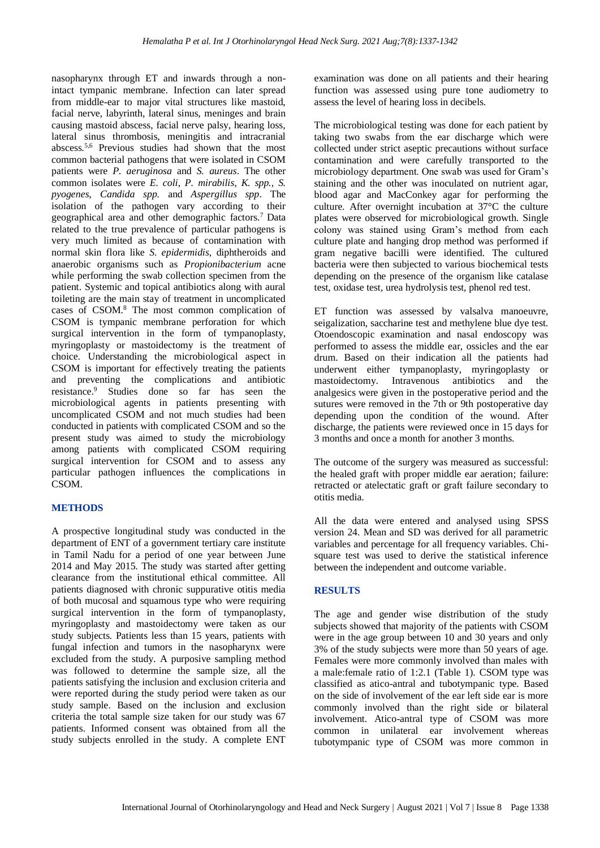nasopharynx through ET and inwards through a nonintact tympanic membrane. Infection can later spread from middle-ear to major vital structures like mastoid, facial nerve, labyrinth, lateral sinus, meninges and brain causing mastoid abscess, facial nerve palsy, hearing loss, lateral sinus thrombosis, meningitis and intracranial abscess.5,6 Previous studies had shown that the most common bacterial pathogens that were isolated in CSOM patients were *P. aeruginosa* and *S. aureus*. The other common isolates were *E. coli*, *P. mirabilis*, *K. spp., S. pyogenes*, *Candida spp.* and *Aspergillus spp*. The isolation of the pathogen vary according to their geographical area and other demographic factors.<sup>7</sup>Data related to the true prevalence of particular pathogens is very much limited as because of contamination with normal skin flora like *S. epidermidis*, diphtheroids and anaerobic organisms such as *Propionibacterium* acne while performing the swab collection specimen from the patient. Systemic and topical antibiotics along with aural toileting are the main stay of treatment in uncomplicated cases of CSOM.<sup>8</sup> The most common complication of CSOM is tympanic membrane perforation for which surgical intervention in the form of tympanoplasty, myringoplasty or mastoidectomy is the treatment of choice. Understanding the microbiological aspect in CSOM is important for effectively treating the patients and preventing the complications and antibiotic resistance.<sup>9</sup> Studies done so far has seen the microbiological agents in patients presenting with uncomplicated CSOM and not much studies had been conducted in patients with complicated CSOM and so the present study was aimed to study the microbiology among patients with complicated CSOM requiring surgical intervention for CSOM and to assess any particular pathogen influences the complications in CSOM.

#### **METHODS**

A prospective longitudinal study was conducted in the department of ENT of a government tertiary care institute in Tamil Nadu for a period of one year between June 2014 and May 2015. The study was started after getting clearance from the institutional ethical committee. All patients diagnosed with chronic suppurative otitis media of both mucosal and squamous type who were requiring surgical intervention in the form of tympanoplasty, myringoplasty and mastoidectomy were taken as our study subjects. Patients less than 15 years, patients with fungal infection and tumors in the nasopharynx were excluded from the study. A purposive sampling method was followed to determine the sample size, all the patients satisfying the inclusion and exclusion criteria and were reported during the study period were taken as our study sample. Based on the inclusion and exclusion criteria the total sample size taken for our study was 67 patients. Informed consent was obtained from all the study subjects enrolled in the study. A complete ENT examination was done on all patients and their hearing function was assessed using pure tone audiometry to assess the level of hearing loss in decibels.

The microbiological testing was done for each patient by taking two swabs from the ear discharge which were collected under strict aseptic precautions without surface contamination and were carefully transported to the microbiology department. One swab was used for Gram's staining and the other was inoculated on nutrient agar, blood agar and MacConkey agar for performing the culture. After overnight incubation at 37°C the culture plates were observed for microbiological growth. Single colony was stained using Gram's method from each culture plate and hanging drop method was performed if gram negative bacilli were identified. The cultured bacteria were then subjected to various biochemical tests depending on the presence of the organism like catalase test, oxidase test, urea hydrolysis test, phenol red test.

ET function was assessed by valsalva manoeuvre, seigalization, saccharine test and methylene blue dye test. Otoendoscopic examination and nasal endoscopy was performed to assess the middle ear, ossicles and the ear drum. Based on their indication all the patients had underwent either tympanoplasty, myringoplasty or mastoidectomy. Intravenous antibiotics and the analgesics were given in the postoperative period and the sutures were removed in the 7th or 9th postoperative day depending upon the condition of the wound. After discharge, the patients were reviewed once in 15 days for 3 months and once a month for another 3 months.

The outcome of the surgery was measured as successful: the healed graft with proper middle ear aeration; failure: retracted or atelectatic graft or graft failure secondary to otitis media.

All the data were entered and analysed using SPSS version 24. Mean and SD was derived for all parametric variables and percentage for all frequency variables. Chisquare test was used to derive the statistical inference between the independent and outcome variable.

#### **RESULTS**

The age and gender wise distribution of the study subjects showed that majority of the patients with CSOM were in the age group between 10 and 30 years and only 3% of the study subjects were more than 50 years of age. Females were more commonly involved than males with a male:female ratio of 1:2.1 (Table 1). CSOM type was classified as atico-antral and tubotympanic type. Based on the side of involvement of the ear left side ear is more commonly involved than the right side or bilateral involvement. Atico-antral type of CSOM was more common in unilateral ear involvement whereas tubotympanic type of CSOM was more common in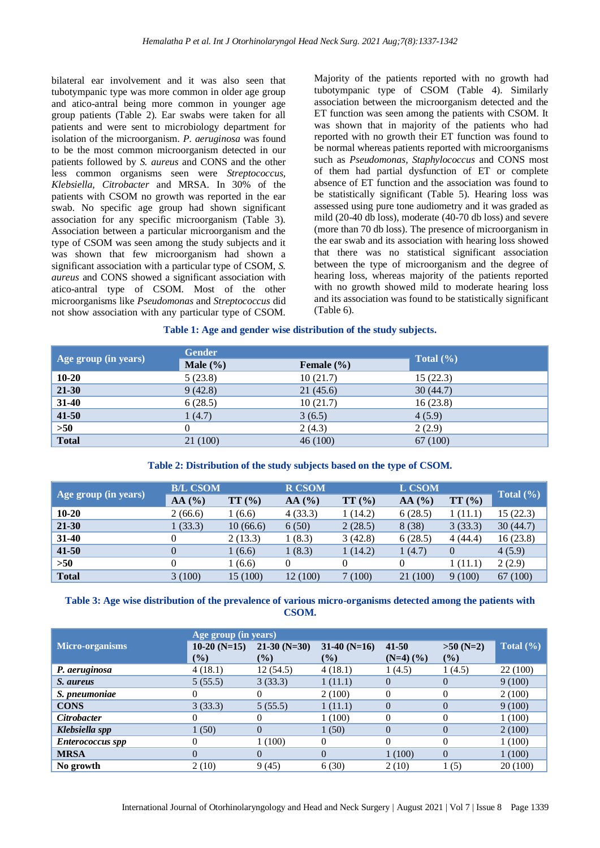bilateral ear involvement and it was also seen that tubotympanic type was more common in older age group and atico-antral being more common in younger age group patients (Table 2). Ear swabs were taken for all patients and were sent to microbiology department for isolation of the microorganism. *P. aeruginosa* was found to be the most common microorganism detected in our patients followed by *S. aureus* and CONS and the other less common organisms seen were *Streptococcus, Klebsiella, Citrobacter* and MRSA. In 30% of the patients with CSOM no growth was reported in the ear swab. No specific age group had shown significant association for any specific microorganism (Table 3). Association between a particular microorganism and the type of CSOM was seen among the study subjects and it was shown that few microorganism had shown a significant association with a particular type of CSOM, *S. aureus* and CONS showed a significant association with atico-antral type of CSOM. Most of the other microorganisms like *Pseudomonas* and *Streptococcus* did not show association with any particular type of CSOM. Majority of the patients reported with no growth had tubotympanic type of CSOM (Table 4). Similarly association between the microorganism detected and the ET function was seen among the patients with CSOM. It was shown that in majority of the patients who had reported with no growth their ET function was found to be normal whereas patients reported with microorganisms such as *Pseudomonas, Staphylococcus* and CONS most of them had partial dysfunction of ET or complete absence of ET function and the association was found to be statistically significant (Table 5). Hearing loss was assessed using pure tone audiometry and it was graded as mild (20-40 db loss), moderate (40-70 db loss) and severe (more than 70 db loss). The presence of microorganism in the ear swab and its association with hearing loss showed that there was no statistical significant association between the type of microorganism and the degree of hearing loss, whereas majority of the patients reported with no growth showed mild to moderate hearing loss and its association was found to be statistically significant (Table 6).

### **Table 1: Age and gender wise distribution of the study subjects.**

| Age group (in years) | <b>Gender</b> | Total $(\% )$  |          |
|----------------------|---------------|----------------|----------|
|                      | Male $(\% )$  | Female $(\% )$ |          |
| $10 - 20$            | 5(23.8)       | 10(21.7)       | 15(22.3) |
| 21-30                | 9(42.8)       | 21(45.6)       | 30(44.7) |
| 31-40                | 6(28.5)       | 10(21.7)       | 16(23.8) |
| $41 - 50$            | 1(4.7)        | 3(6.5)         | 4(5.9)   |
| $>50$                | $_{0}$        | 2(4.3)         | 2(2.9)   |
| <b>Total</b>         | 21 (100)      | 46(100)        | 67 (100) |

#### **Table 2: Distribution of the study subjects based on the type of CSOM.**

| Age group (in years) | <b>B/L CSOM</b> |                 | <b>R CSOM</b> |         | L CSOM   |                |               |
|----------------------|-----------------|-----------------|---------------|---------|----------|----------------|---------------|
|                      | $AA($ % $)$     | TT <sub>0</sub> | $AA($ %)      | TT(%)   | AA(%)    | TT(%)          | Total $(\% )$ |
| $10 - 20$            | 2(66.6)         | 1(6.6)          | 4(33.3)       | 1(14.2) | 6(28.5)  | 1 (11.1)       | 15(22.3)      |
| $21 - 30$            | 1(33.3)         | 10(66.6)        | 6(50)         | 2(28.5) | 8(38)    | 3(33.3)        | 30(44.7)      |
| $31 - 40$            |                 | 2(13.3)         | 1(8.3)        | 3(42.8) | 6(28.5)  | 4(44.4)        | 16(23.8)      |
| $41 - 50$            |                 | 1(6.6)          | 1(8.3)        | 1(14.2) | 1(4.7)   | $\overline{0}$ | 4(5.9)        |
| >50                  |                 | 1(6.6)          | $\Omega$      | 0       |          | 1 (11.1)       | 2(2.9)        |
| <b>Total</b>         | 3(100)          | 15 (100)        | 12 (100)      | 7(100)  | 21 (100) | 9(100)         | 67 (100)      |

# **Table 3: Age wise distribution of the prevalence of various micro-organisms detected among the patients with CSOM.**

|                         | Age group (in years) |               |                |                         |                |               |
|-------------------------|----------------------|---------------|----------------|-------------------------|----------------|---------------|
| <b>Micro-organisms</b>  | $10-20$ (N=15)       | $21-30(N=30)$ | $31-40$ (N=16) | 41-50                   | $>50$ (N=2)    | Total $(\% )$ |
|                         | $\frac{6}{2}$        | $($ %)        | $\frac{9}{6}$  | $(N=4)$ $(\frac{9}{6})$ | (%)            |               |
| P. aeruginosa           | 4(18.1)              | 12(54.5)      | 4(18.1)        | 1(4.5)                  | 1(4.5)         | 22 (100)      |
| S. aureus               | 5(55.5)              | 3(33.3)       | 1(11.1)        | $\Omega$                | 0              | 9(100)        |
| S. pneumoniae           |                      |               | 2(100)         | $\Omega$                |                | 2(100)        |
| <b>CONS</b>             | 3(33.3)              | 5(55.5)       | 1(11.1)        | $\Omega$                | $\overline{0}$ | 9(100)        |
| <b>Citrobacter</b>      |                      |               | 1(100)         |                         | 0              | 1(100)        |
| Klebsiella spp          | 1(50)                | $\Omega$      | 1(50)          | $\Omega$                | $\theta$       | 2(100)        |
| <b>Enterococcus spp</b> |                      | 1(100)        | $\theta$       | $\Omega$                | $\Omega$       | 1(100)        |
| <b>MRSA</b>             | $\Omega$             | 0             | $\Omega$       | 1(100)                  | $\Omega$       | 1(100)        |
| No growth               | 2(10)                | 9(45)         | 6(30)          | 2(10)                   | 1(5)           | 20 (100)      |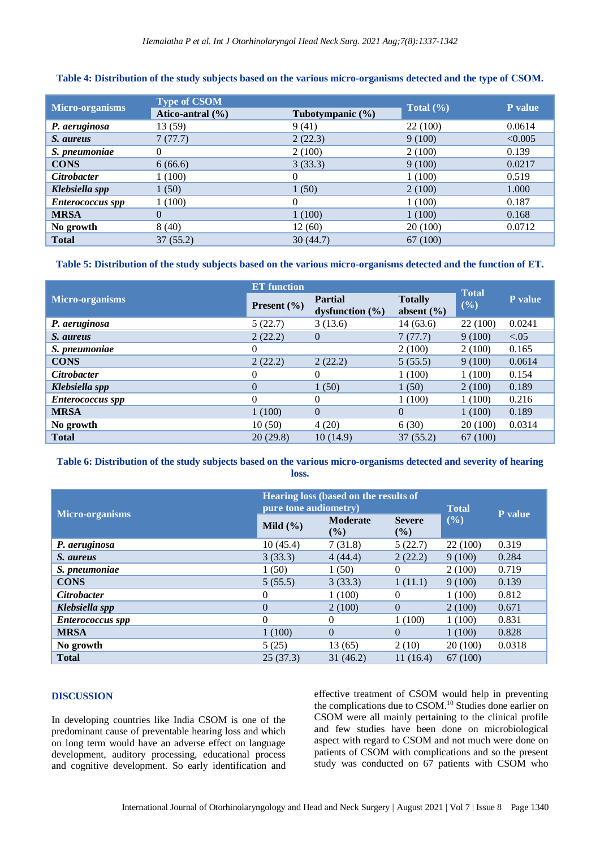#### **Table 4: Distribution of the study subjects based on the various micro-organisms detected and the type of CSOM.**

| Micro-organisms         | <b>Type of CSOM</b>  |                      | P value       |         |
|-------------------------|----------------------|----------------------|---------------|---------|
|                         | Atico-antral $(\% )$ | Tubotympanic $(\% )$ | Total $(\% )$ |         |
| P. aeruginosa           | 13 (59)              | 9(41)                | 22 (100)      | 0.0614  |
| S. aureus               | 7(77.7)              | 2(22.3)              | 9(100)        | < 0.005 |
| S. pneumoniae           | 0                    | 2(100)               | 2(100)        | 0.139   |
| <b>CONS</b>             | 6(66.6)              | 3(33.3)              | 9(100)        | 0.0217  |
| <b>Citrobacter</b>      | 1(100)               | 0                    | 1(100)        | 0.519   |
| Klebsiella spp          | 1(50)                | 1(50)                | 2(100)        | 1.000   |
| <b>Enterococcus spp</b> | 1(100)               | 0                    | 1(100)        | 0.187   |
| <b>MRSA</b>             | $\Omega$             | 1(100)               | 1(100)        | 0.168   |
| No growth               | 8(40)                | 12(60)               | 20(100)       | 0.0712  |
| <b>Total</b>            | 37(55.2)             | 30(44.7)             | 67 (100)      |         |

# **Table 5: Distribution of the study subjects based on the various micro-organisms detected and the function of ET.**

|                         | <b>ET</b> function     | <b>Total</b>                          |                                  |          |         |
|-------------------------|------------------------|---------------------------------------|----------------------------------|----------|---------|
| Micro-organisms         | <b>Present</b> $(\% )$ | <b>Partial</b><br>dysfunction $(\% )$ | <b>Totally</b><br>absent $(\% )$ | (%)      | P value |
| P. aeruginosa           | 5(22.7)                | 3(13.6)                               | 14(63.6)                         | 22 (100) | 0.0241  |
| S. aureus               | 2(22.2)                | $\theta$                              | 7(77.7)                          | 9(100)   | < 0.05  |
| S. pneumoniae           | $\theta$               |                                       | 2(100)                           | 2(100)   | 0.165   |
| <b>CONS</b>             | 2(22.2)                | 2(22.2)                               | 5(55.5)                          | 9(100)   | 0.0614  |
| <b>Citrobacter</b>      | 0                      | $\theta$                              | 1(100)                           | 1(100)   | 0.154   |
| Klebsiella spp          | $\overline{0}$         | 1(50)                                 | 1(50)                            | 2(100)   | 0.189   |
| <b>Enterococcus</b> spp | $\Omega$               | $\Omega$                              | 1(100)                           | 1(100)   | 0.216   |
| <b>MRSA</b>             | 1(100)                 | $\Omega$                              | $\Omega$                         | 1(100)   | 0.189   |
| No growth               | 10(50)                 | 4(20)                                 | 6(30)                            | 20 (100) | 0.0314  |
| <b>Total</b>            | 20(29.8)               | 10(14.9)                              | 37(55.2)                         | 67 (100) |         |

### **Table 6: Distribution of the study subjects based on the various micro-organisms detected and severity of hearing loss.**

|                         | Hearing loss (based on the results of<br>pure tone audiometry) |                           |                      |          |                |
|-------------------------|----------------------------------------------------------------|---------------------------|----------------------|----------|----------------|
| <b>Micro-organisms</b>  | Mild $(\% )$                                                   | <b>Moderate</b><br>$($ %) | <b>Severe</b><br>(%) | (9/0)    | <b>P</b> value |
| P. aeruginosa           | 10(45.4)                                                       | 7(31.8)                   | 5(22.7)              | 22 (100) | 0.319          |
| S. aureus               | 3(33.3)                                                        | 4(44.4)                   | 2(22.2)              | 9(100)   | 0.284          |
| S. pneumoniae           | 1(50)                                                          | 1(50)                     | 0                    | 2(100)   | 0.719          |
| <b>CONS</b>             | 5(55.5)                                                        | 3(33.3)                   | 1(11.1)              | 9(100)   | 0.139          |
| <b>Citrobacter</b>      | $\theta$                                                       | 1(100)                    | 0                    | 1(100)   | 0.812          |
| Klebsiella spp          | $\overline{0}$                                                 | 2(100)                    | $\theta$             | 2(100)   | 0.671          |
| <b>Enterococcus</b> spp | $\Omega$                                                       | $\Omega$                  | 1(100)               | 1(100)   | 0.831          |
| <b>MRSA</b>             | 1(100)                                                         | $\theta$                  | $\Omega$             | 1(100)   | 0.828          |
| No growth               | 5(25)                                                          | 13(65)                    | 2(10)                | 20(100)  | 0.0318         |
| <b>Total</b>            | 25(37.3)                                                       | 31(46.2)                  | 11(16.4)             | 67 (100) |                |

### **DISCUSSION**

In developing countries like India CSOM is one of the predominant cause of preventable hearing loss and which on long term would have an adverse effect on language development, auditory processing, educational process and cognitive development. So early identification and effective treatment of CSOM would help in preventing the complications due to CSOM.<sup>10</sup> Studies done earlier on CSOM were all mainly pertaining to the clinical profile and few studies have been done on microbiological aspect with regard to CSOM and not much were done on patients of CSOM with complications and so the present study was conducted on 67 patients with CSOM who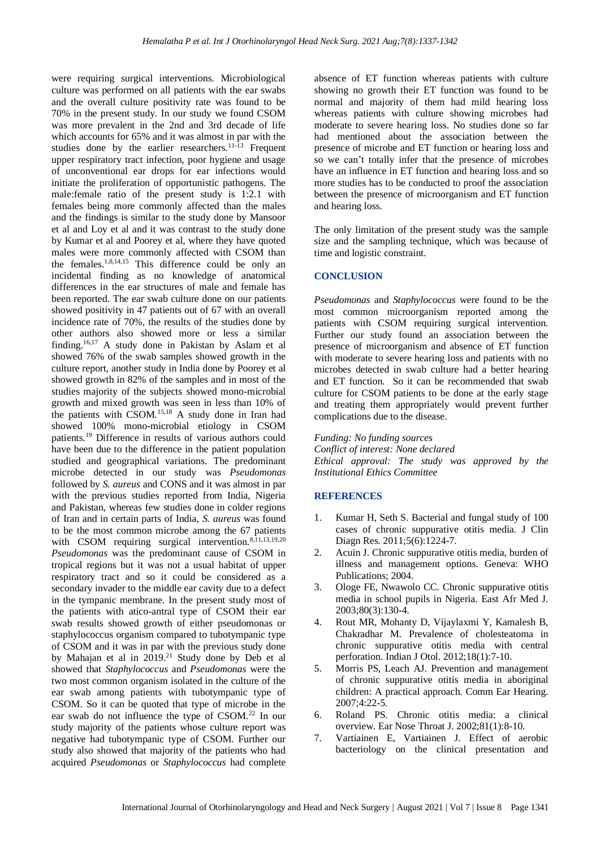were requiring surgical interventions. Microbiological culture was performed on all patients with the ear swabs and the overall culture positivity rate was found to be 70% in the present study. In our study we found CSOM was more prevalent in the 2nd and 3rd decade of life which accounts for 65% and it was almost in par with the studies done by the earlier researchers.<sup>11-13</sup> Frequent upper respiratory tract infection, poor hygiene and usage of unconventional ear drops for ear infections would initiate the proliferation of opportunistic pathogens. The male:female ratio of the present study is 1:2.1 with females being more commonly affected than the males and the findings is similar to the study done by Mansoor et al and Loy et al and it was contrast to the study done by Kumar et al and Poorey et al, where they have quoted males were more commonly affected with CSOM than the females.1,8,14,15 This difference could be only an incidental finding as no knowledge of anatomical differences in the ear structures of male and female has been reported. The ear swab culture done on our patients showed positivity in 47 patients out of 67 with an overall incidence rate of 70%, the results of the studies done by other authors also showed more or less a similar finding.<sup>16,17</sup> A study done in Pakistan by Aslam et al showed 76% of the swab samples showed growth in the culture report, another study in India done by Poorey et al showed growth in 82% of the samples and in most of the studies majority of the subjects showed mono-microbial growth and mixed growth was seen in less than 10% of the patients with CSOM.<sup>15,18</sup> A study done in Iran had showed 100% mono-microbial etiology in CSOM patients.<sup>19</sup> Difference in results of various authors could have been due to the difference in the patient population studied and geographical variations. The predominant microbe detected in our study was *Pseudomonas* followed by *S. aureus* and CONS and it was almost in par with the previous studies reported from India, Nigeria and Pakistan, whereas few studies done in colder regions of Iran and in certain parts of India, *S. aureus* was found to be the most common microbe among the 67 patients with CSOM requiring surgical intervention.<sup>8,11,13,19,20</sup> *Pseudomonas* was the predominant cause of CSOM in tropical regions but it was not a usual habitat of upper respiratory tract and so it could be considered as a secondary invader to the middle ear cavity due to a defect in the tympanic membrane. In the present study most of the patients with atico-antral type of CSOM their ear swab results showed growth of either pseudomonas or staphylococcus organism compared to tubotympanic type of CSOM and it was in par with the previous study done by Mahajan et al in 2019.<sup>21</sup> Study done by Deb et al showed that *Staphylococcus* and *Pseudomonas* were the two most common organism isolated in the culture of the ear swab among patients with tubotympanic type of CSOM. So it can be quoted that type of microbe in the ear swab do not influence the type of CSOM.<sup>22</sup> In our study majority of the patients whose culture report was negative had tubotympanic type of CSOM. Further our study also showed that majority of the patients who had acquired *Pseudomonas* or *Staphylococcus* had complete

absence of ET function whereas patients with culture showing no growth their ET function was found to be normal and majority of them had mild hearing loss whereas patients with culture showing microbes had moderate to severe hearing loss. No studies done so far had mentioned about the association between the presence of microbe and ET function or hearing loss and so we can't totally infer that the presence of microbes have an influence in ET function and hearing loss and so more studies has to be conducted to proof the association between the presence of microorganism and ET function and hearing loss.

The only limitation of the present study was the sample size and the sampling technique, which was because of time and logistic constraint.

# **CONCLUSION**

*Pseudomonas* and *Staphylococcus* were found to be the most common microorganism reported among the patients with CSOM requiring surgical intervention. Further our study found an association between the presence of microorganism and absence of ET function with moderate to severe hearing loss and patients with no microbes detected in swab culture had a better hearing and ET function. So it can be recommended that swab culture for CSOM patients to be done at the early stage and treating them appropriately would prevent further complications due to the disease.

*Funding: No funding sources*

*Conflict of interest: None declared Ethical approval: The study was approved by the Institutional Ethics Committee*

#### **REFERENCES**

- 1. Kumar H, Seth S. Bacterial and fungal study of 100 cases of chronic suppurative otitis media. J Clin Diagn Res. 2011;5(6):1224-7.
- 2. Acuin J. Chronic suppurative otitis media, burden of illness and management options. Geneva: WHO Publications; 2004.
- 3. Ologe FE, Nwawolo CC. Chronic suppurative otitis media in school pupils in Nigeria. East Afr Med J. 2003;80(3):130-4.
- 4. Rout MR, Mohanty D, Vijaylaxmi Y, Kamalesh B, Chakradhar M. Prevalence of cholesteatoma in chronic suppurative otitis media with central perforation. Indian J Otol. 2012;18(1):7-10.
- 5. Morris PS, Leach AJ. Prevention and management of chronic suppurative otitis media in aboriginal children: A practical approach. Comm Ear Hearing. 2007;4:22-5.
- 6. Roland PS. Chronic otitis media: a clinical overview. Ear Nose Throat J. 2002;81(1):8-10.
- 7. Vartiainen E, Vartiainen J. Effect of aerobic bacteriology on the clinical presentation and